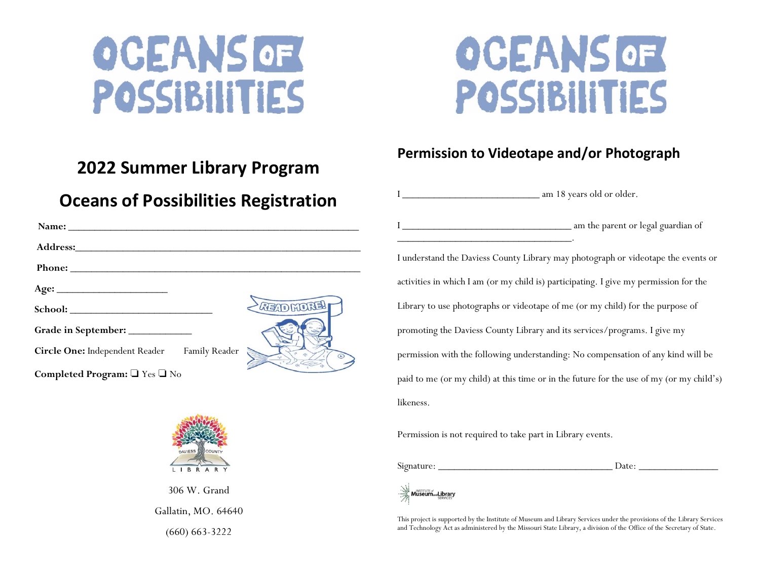

# **OCEANS OF** POSSIBILITIES

#### **Permission to Videotape and/or Photograph**

#### **2022 Summer Library Program**

#### **Oceans of Possibilities Registration**

| Name:                                        |                    |
|----------------------------------------------|--------------------|
|                                              |                    |
|                                              |                    |
|                                              |                    |
|                                              | RETORICKEN         |
| Grade in September: _______________          |                    |
| Circle One: Independent Reader Family Reader | $\epsilon_{\rm C}$ |
| Completed Program: TYes TNo                  |                    |



306 W. Grand Gallatin, MO. 64640 (660) 663-3222

I am 18 years old or older.

\_\_\_\_\_\_\_\_\_\_\_\_\_\_\_\_\_\_\_\_\_\_\_\_\_\_\_\_\_\_\_\_\_.

In the parent or legal guardian of

I understand the Daviess County Library may photograph or videotape the events or activities in which I am (or my child is) participating. I give my permission for the Library to use photographs or videotape of me (or my child) for the purpose of promoting the Daviess County Library and its services/programs. I give my permission with the following understanding: No compensation of any kind will be paid to me (or my child) at this time or in the future for the use of my (or my child's) likeness.

Permission is not required to take part in Library events.

Signature: \_\_\_\_\_\_\_\_\_\_\_\_\_\_\_\_\_\_\_\_\_\_\_\_\_\_\_\_\_\_\_\_\_ Date: \_\_\_\_\_\_\_\_\_\_\_\_\_\_\_

**Museum**<sub>and</sub>Library

This project is supported by the Institute of Museum and Library Services under the provisions of the Library Services and Technology Act as administered by the Missouri State Library, a division of the Office of the Secretary of State.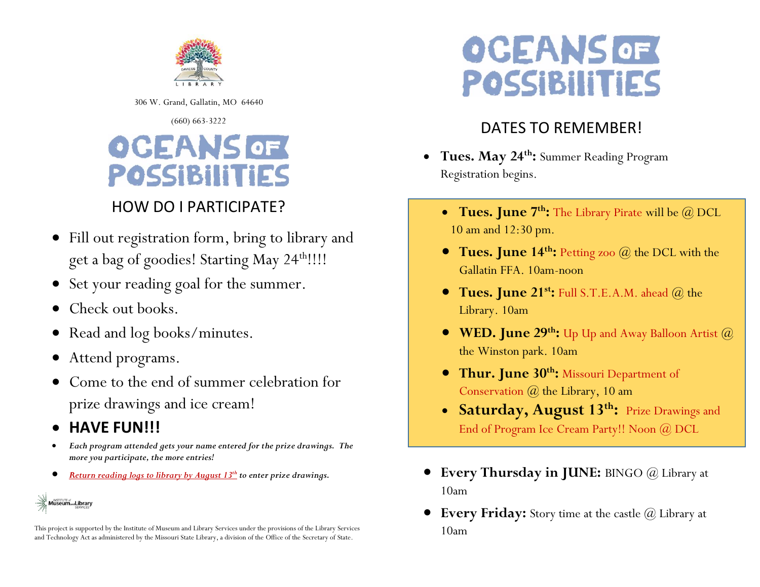

306 W. Grand, Gallatin, MO 64640

#### (660) 663-3222

### **OCEANS OF POSSIBILITIES**

#### HOW DO I PARTICIPATE?

- Fill out registration form, bring to library and get a bag of goodies! Starting May 24<sup>th</sup>!!!!
- Set your reading goal for the summer.
- Check out books.
- Read and  $log$  books/minutes.
- Attend programs.
- Come to the end of summer celebration for prize drawings and ice cream!
- **HAVE FUN!!!**
- *Each program attended gets your name entered for the prize drawings. The more you participate, the more entries!*
- *Return reading logs to library by August 13th to enter prize drawings.*

### **MUSEUM**<sub>and</sub>Library

This project is supported by the Institute of Museum and Library Services under the provisions of the Library Services and Technology Act as administered by the Missouri State Library, a division of the Office of the Secretary of State.

## **OCEANS OF** POSSIBILITIES

#### DATES TO REMEMBER!

- **Tues. May 24th:** Summer Reading Program Registration begins.
- **Tues. June 7th:** The Library Pirate will be @ DCL **Tues. June 7th:** The Library Pirate will be @ DCL 10 am and 12:30 pm. 10 am and 12:30 pm.
- **Tues. June 14th:** Petting zoo @ the DCL with the **Tues. June 14th:** Petting zoo @ the DCL with the Gallatin FFA. 10am-noon Gallatin FFA. 10am-noon
- **Tues. June 21st:** Full S.T.E.A.M. ahead @ the **Tues. June 21st:** Full S.T.E.A.M. ahead @ the Library. 10am Library. 10am
- **WED. June 29<sup>th</sup>:** Up Up and Away Balloon Artist  $@$ the Winston park. 10am the Winston park. 10am
- **Thur. June 30th:** Missouri Department of **Thur. June 30th:** Missouri Department of Conservation @ the Library, 10 am Conservation @ the Library, 10 am
	- **Saturday, August 13th:** Prize Drawings and End of Program Ice Cream Party!! Noon @ DCL
- **Every Thursday in JUNE:** BINGO @ Library at 10am
- **Every Friday:** Story time at the castle  $\omega$  Library at 10am